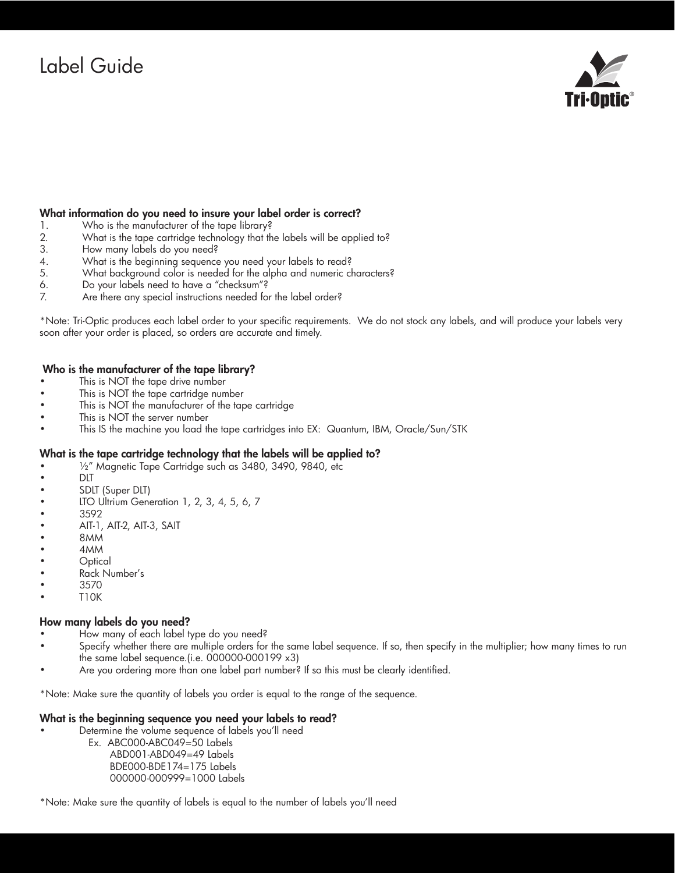# Label Guide



#### What information do you need to insure your label order is correct?

- 1. Who is the manufacturer of the tape library?
- 2. What is the tape cartridge technology that the labels will be applied to?<br>3. How many labels do you need?
- How many labels do you need?
- 
- 4. What is the beginning sequence you need your labels to read?<br>5. What background color is needed for the alpha and numeric ch What background color is needed for the alpha and numeric characters?
- 6. Do your labels need to have a "checksum"?
- 7. Are there any special instructions needed for the label order?

\*Note: Tri-Optic produces each label order to your specific requirements. We do not stock any labels, and will produce your labels very soon after your order is placed, so orders are accurate and timely.

#### Who is the manufacturer of the tape library?

- This is NOT the tape drive number
- This is NOT the tape cartridge number
- This is NOT the manufacturer of the tape cartridge
- This is NOT the server number
- This IS the machine you load the tape cartridges into EX: Quantum, IBM, Oracle/Sun/STK

#### What is the tape cartridge technology that the labels will be applied to?

- 1/2" Magnetic Tape Cartridge such as 3480, 3490, 9840, etc
- • DLT
- SDLT (Super DLT)
- LTO Ultrium Generation 1, 2, 3, 4, 5, 6, 7
- • 3592
- • AIT-1, AIT-2, AIT-3, SAIT
- • 8MM
- 4<sub>MM</sub>
- **Optical**
- Rack Number's
- 3570
- • T10K

#### How many labels do you need?

- How many of each label type do you need?
- Specify whether there are multiple orders for the same label sequence. If so, then specify in the multiplier; how many times to run the same label sequence.(i.e. 000000-000199 x3)
- Are you ordering more than one label part number? If so this must be clearly identified.

\*Note: Make sure the quantity of labels you order is equal to the range of the sequence.

#### What is the beginning sequence you need your labels to read?

Determine the volume sequence of labels you'll need

 Ex. ABC000-ABC049=50 Labels ABD001-ABD049=49 Labels BDE000-BDE174=175 Labels 000000-000999=1000 Labels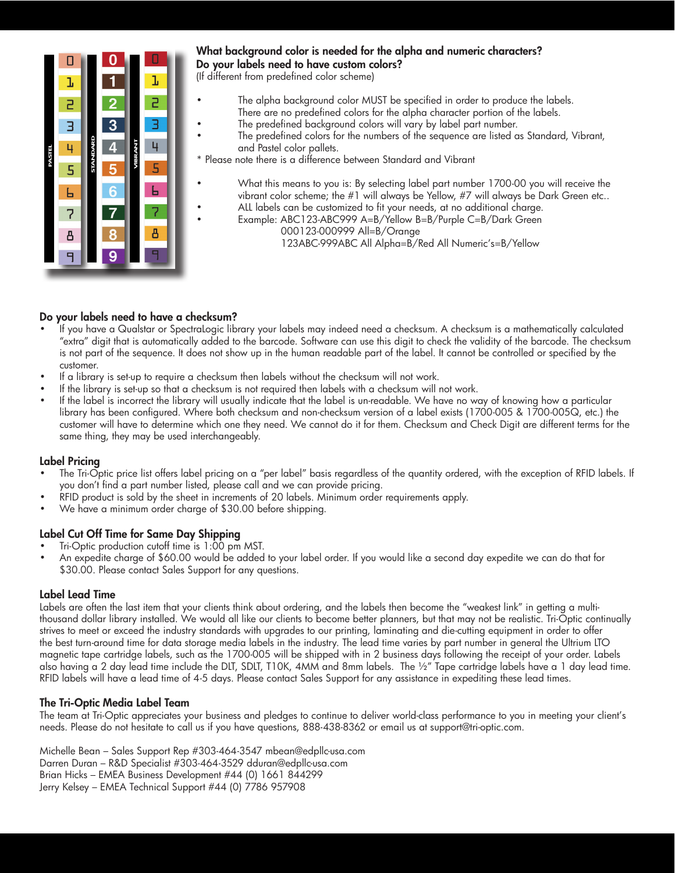

## What background color is needed for the alpha and numeric characters? Do your labels need to have custom colors?

(If different from predefined color scheme)

- The alpha background color MUST be specified in order to produce the labels. There are no predefined colors for the alpha character portion of the labels.
- The predefined background colors will vary by label part number.
- The predefined colors for the numbers of the sequence are listed as Standard, Vibrant, and Pastel color pallets.
- \* Please note there is a difference between Standard and Vibrant
	- What this means to you is: By selecting label part number 1700-00 you will receive the vibrant color scheme; the #1 will always be Yellow, #7 will always be Dark Green etc..
	- ALL labels can be customized to fit your needs, at no additional charge.
		- Example: ABC123-ABC999 A=B/Yellow B=B/Purple C=B/Dark Green 000123-000999 All=B/Orange 123ABC-999ABC All Alpha=B/Red All Numeric's=B/Yellow

## Do your labels need to have a checksum?

- If you have a Qualstar or SpectraLogic library your labels may indeed need a checksum. A checksum is a mathematically calculated "extra" digit that is automatically added to the barcode. Software can use this digit to check the validity of the barcode. The checksum is not part of the sequence. It does not show up in the human readable part of the label. It cannot be controlled or specified by the customer.
- If a library is set-up to require a checksum then labels without the checksum will not work.
- If the library is set-up so that a checksum is not required then labels with a checksum will not work.
- If the label is incorrect the library will usually indicate that the label is un-readable. We have no way of knowing how a particular library has been configured. Where both checksum and non-checksum version of a label exists (1700-005 & 1700-005Q, etc.) the customer will have to determine which one they need. We cannot do it for them. Checksum and Check Digit are different terms for the same thing, they may be used interchangeably.

#### Label Pricing

- The Tri-Optic price list offers label pricing on a "per label" basis regardless of the quantity ordered, with the exception of RFID labels. If you don't find a part number listed, please call and we can provide pricing.
- RFID product is sold by the sheet in increments of 20 labels. Minimum order requirements apply.
- We have a minimum order charge of \$30.00 before shipping.

## Label Cut Off Time for Same Day Shipping

- Tri-Optic production cutoff time is 1:00 pm MST.
- An expedite charge of \$60.00 would be added to your label order. If you would like a second day expedite we can do that for \$30.00. Please contact Sales Support for any questions.

#### Label Lead Time

Labels are often the last item that your clients think about ordering, and the labels then become the "weakest link" in getting a multithousand dollar library installed. We would all like our clients to become better planners, but that may not be realistic. Tri-Optic continually strives to meet or exceed the industry standards with upgrades to our printing, laminating and die-cutting equipment in order to offer the best turn-around time for data storage media labels in the industry. The lead time varies by part number in general the Ultrium LTO magnetic tape cartridge labels, such as the 1700-005 will be shipped with in 2 business days following the receipt of your order. Labels also having a 2 day lead time include the DLT, SDLT, T10K, 4MM and 8mm labels. The 1/2" Tape cartridge labels have a 1 day lead time. RFID labels will have a lead time of 4-5 days. Please contact Sales Support for any assistance in expediting these lead times.

## The Tri-Optic Media Label Team

The team at Tri-Optic appreciates your business and pledges to continue to deliver world-class performance to you in meeting your client's needs. Please do not hesitate to call us if you have questions, 888-438-8362 or email us at support@tri-optic.com.

Michelle Bean – Sales Support Rep #303-464-3547 mbean@edpllc-usa.com Darren Duran – R&D Specialist #303-464-3529 dduran@edpllc-usa.com Brian Hicks – EMEA Business Development #44 (0) 1661 844299<br>Jerry Kelsey – EMEA Technical Support #44 (0) 7786 957908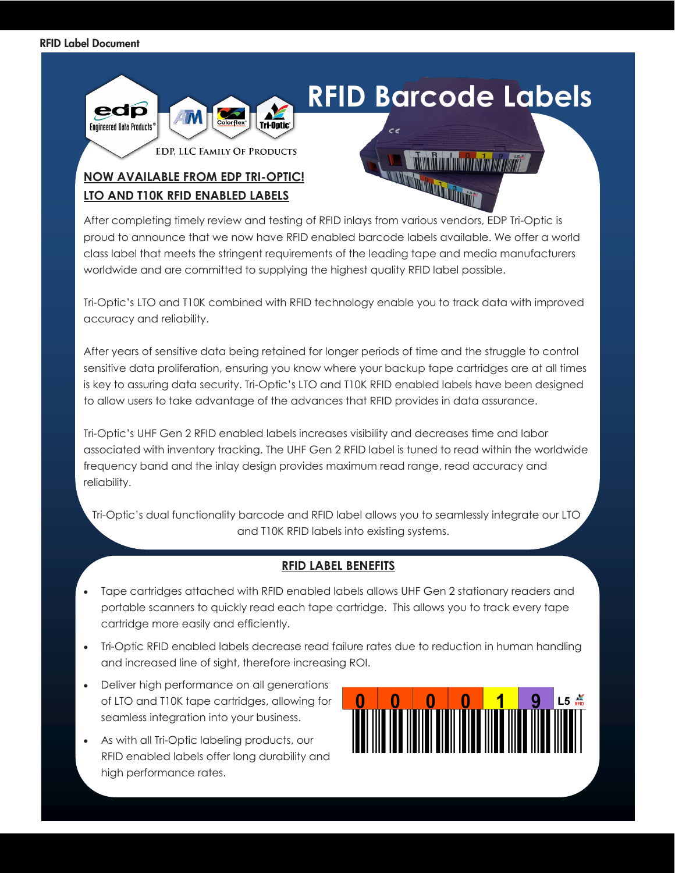

After completing timely review and testing of RFID inlays from various vendors, EDP Tri-Optic is proud to announce that we now have RFID enabled barcode labels available. We offer a world class label that meets the stringent requirements of the leading tape and media manufacturers worldwide and are committed to supplying the highest quality RFID label possible.

Tri-Optic's LTO and T10K combined with RFID technology enable you to track data with improved accuracy and reliability.

After years of sensitive data being retained for longer periods of time and the struggle to control sensitive data proliferation, ensuring you know where your backup tape cartridges are at all times is key to assuring data security. Tri-Optic's LTO and T10K RFID enabled labels have been designed to allow users to take advantage of the advances that RFID provides in data assurance.

Tri-Optic's UHF Gen 2 RFID enabled labels increases visibility and decreases time and labor associated with inventory tracking. The UHF Gen 2 RFID label is tuned to read within the worldwide frequency band and the inlay design provides maximum read range, read accuracy and reliability.

 Tri-Optic's dual functionality barcode and RFID label allows you to seamlessly integrate our LTO and T10K RFID labels into existing systems.

## **RFID LABEL BENEFITS**

- Tape cartridges attached with RFID enabled labels allows UHF Gen 2 stationary readers and portable scanners to quickly read each tape cartridge. This allows you to track every tape cartridge more easily and efficiently.
- Tri-Optic RFID enabled labels decrease read failure rates due to reduction in human handling and increased line of sight, therefore increasing ROI.
- Deliver high performance on all generations of LTO and T10K tape cartridges, allowing for seamless integration into your business.
- As with all Tri-Optic labeling products, our RFID enabled labels offer long durability and high performance rates.